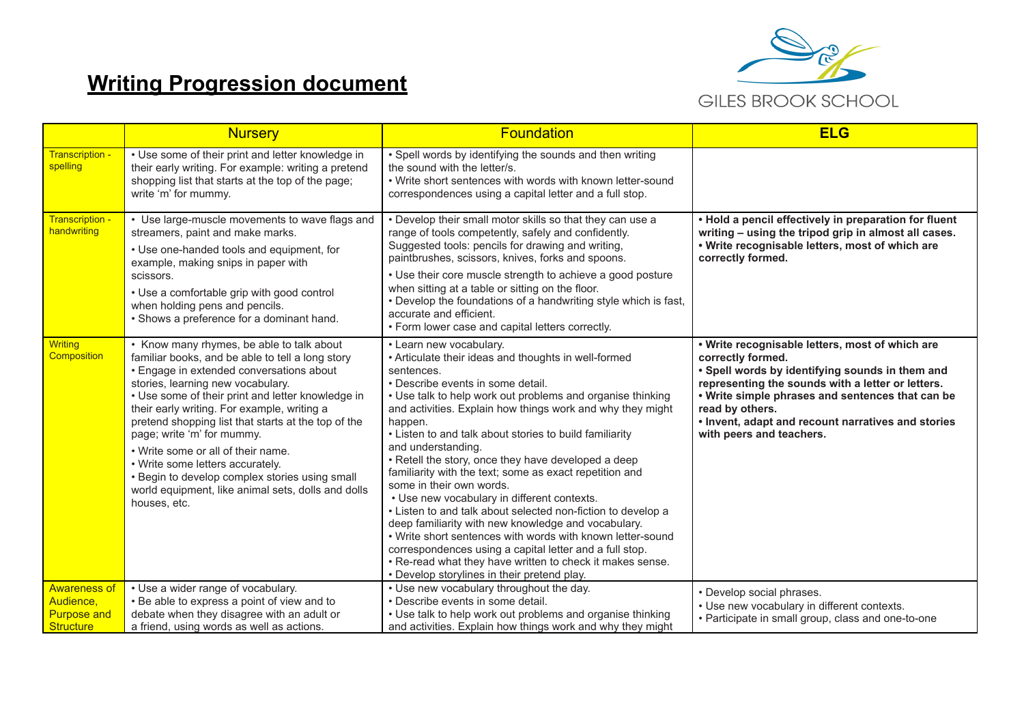## **Writing Progression document**



|                                                                     | <b>Nursery</b>                                                                                                                                                                                                                                                                                                                                                                                                                                                                                                                                                            | <b>Foundation</b>                                                                                                                                                                                                                                                                                                                                                                                                                                                                                                                                                                                                                                                                                                                                                                                                                                                                                                   | <b>ELG</b>                                                                                                                                                                                                                                                                                                                            |
|---------------------------------------------------------------------|---------------------------------------------------------------------------------------------------------------------------------------------------------------------------------------------------------------------------------------------------------------------------------------------------------------------------------------------------------------------------------------------------------------------------------------------------------------------------------------------------------------------------------------------------------------------------|---------------------------------------------------------------------------------------------------------------------------------------------------------------------------------------------------------------------------------------------------------------------------------------------------------------------------------------------------------------------------------------------------------------------------------------------------------------------------------------------------------------------------------------------------------------------------------------------------------------------------------------------------------------------------------------------------------------------------------------------------------------------------------------------------------------------------------------------------------------------------------------------------------------------|---------------------------------------------------------------------------------------------------------------------------------------------------------------------------------------------------------------------------------------------------------------------------------------------------------------------------------------|
| Transcription -<br>spelling                                         | • Use some of their print and letter knowledge in<br>their early writing. For example: writing a pretend<br>shopping list that starts at the top of the page;<br>write 'm' for mummy.                                                                                                                                                                                                                                                                                                                                                                                     | • Spell words by identifying the sounds and then writing<br>the sound with the letter/s.<br>• Write short sentences with words with known letter-sound<br>correspondences using a capital letter and a full stop.                                                                                                                                                                                                                                                                                                                                                                                                                                                                                                                                                                                                                                                                                                   |                                                                                                                                                                                                                                                                                                                                       |
| Transcription -<br>handwriting                                      | • Use large-muscle movements to wave flags and<br>streamers, paint and make marks.<br>• Use one-handed tools and equipment, for<br>example, making snips in paper with<br>scissors.<br>• Use a comfortable grip with good control<br>when holding pens and pencils.<br>• Shows a preference for a dominant hand.                                                                                                                                                                                                                                                          | • Develop their small motor skills so that they can use a<br>range of tools competently, safely and confidently.<br>Suggested tools: pencils for drawing and writing,<br>paintbrushes, scissors, knives, forks and spoons.<br>• Use their core muscle strength to achieve a good posture<br>when sitting at a table or sitting on the floor.<br>• Develop the foundations of a handwriting style which is fast,<br>accurate and efficient.<br>• Form lower case and capital letters correctly.                                                                                                                                                                                                                                                                                                                                                                                                                      | • Hold a pencil effectively in preparation for fluent<br>writing - using the tripod grip in almost all cases.<br>• Write recognisable letters, most of which are<br>correctly formed.                                                                                                                                                 |
| <b>Writing</b><br>Composition                                       | • Know many rhymes, be able to talk about<br>familiar books, and be able to tell a long story<br>• Engage in extended conversations about<br>stories, learning new vocabulary.<br>• Use some of their print and letter knowledge in<br>their early writing. For example, writing a<br>pretend shopping list that starts at the top of the<br>page; write 'm' for mummy.<br>• Write some or all of their name.<br>• Write some letters accurately.<br>• Begin to develop complex stories using small<br>world equipment, like animal sets, dolls and dolls<br>houses, etc. | • Learn new vocabulary.<br>• Articulate their ideas and thoughts in well-formed<br>sentences.<br>• Describe events in some detail.<br>• Use talk to help work out problems and organise thinking<br>and activities. Explain how things work and why they might<br>happen.<br>• Listen to and talk about stories to build familiarity<br>and understanding.<br>• Retell the story, once they have developed a deep<br>familiarity with the text; some as exact repetition and<br>some in their own words.<br>• Use new vocabulary in different contexts.<br>• Listen to and talk about selected non-fiction to develop a<br>deep familiarity with new knowledge and vocabulary.<br>• Write short sentences with words with known letter-sound<br>correspondences using a capital letter and a full stop.<br>. Re-read what they have written to check it makes sense.<br>• Develop storylines in their pretend play. | • Write recognisable letters, most of which are<br>correctly formed.<br>. Spell words by identifying sounds in them and<br>representing the sounds with a letter or letters.<br>. Write simple phrases and sentences that can be<br>read by others.<br>. Invent, adapt and recount narratives and stories<br>with peers and teachers. |
| <b>Awareness of</b><br>Audience,<br><b>Purpose and</b><br>Structure | • Use a wider range of vocabulary.<br>• Be able to express a point of view and to<br>debate when they disagree with an adult or<br>a friend, using words as well as actions.                                                                                                                                                                                                                                                                                                                                                                                              | • Use new vocabulary throughout the day.<br>• Describe events in some detail.<br>• Use talk to help work out problems and organise thinking<br>and activities. Explain how things work and why they might                                                                                                                                                                                                                                                                                                                                                                                                                                                                                                                                                                                                                                                                                                           | • Develop social phrases.<br>• Use new vocabulary in different contexts.<br>• Participate in small group, class and one-to-one                                                                                                                                                                                                        |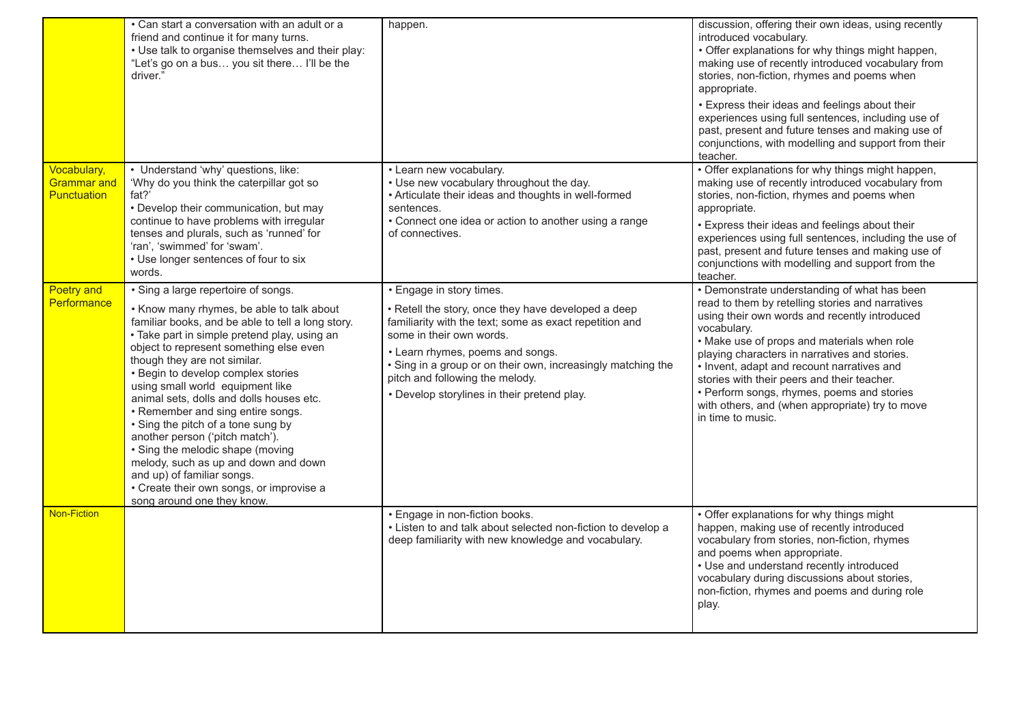|                                                  | • Can start a conversation with an adult or a<br>friend and continue it for many turns.<br>• Use talk to organise themselves and their play:<br>"Let's go on a bus you sit there I'll be the<br>driver."                                                                                                                                                                                                                                                                                                                                                                                                                                                                                 | happen.                                                                                                                                                                                                                                                                                                                                                    | discussion, offering their own ideas, using recently<br>introduced vocabulary.<br>• Offer explanations for why things might happen,<br>making use of recently introduced vocabulary from<br>stories, non-fiction, rhymes and poems when<br>appropriate.<br>• Express their ideas and feelings about their<br>experiences using full sentences, including use of<br>past, present and future tenses and making use of<br>conjunctions, with modelling and support from their<br>teacher. |
|--------------------------------------------------|------------------------------------------------------------------------------------------------------------------------------------------------------------------------------------------------------------------------------------------------------------------------------------------------------------------------------------------------------------------------------------------------------------------------------------------------------------------------------------------------------------------------------------------------------------------------------------------------------------------------------------------------------------------------------------------|------------------------------------------------------------------------------------------------------------------------------------------------------------------------------------------------------------------------------------------------------------------------------------------------------------------------------------------------------------|-----------------------------------------------------------------------------------------------------------------------------------------------------------------------------------------------------------------------------------------------------------------------------------------------------------------------------------------------------------------------------------------------------------------------------------------------------------------------------------------|
| Vocabulary,<br><b>Grammar</b> and<br>Punctuation | • Understand 'why' questions, like:<br>'Why do you think the caterpillar got so<br>fat?'<br>• Develop their communication, but may<br>continue to have problems with irregular<br>tenses and plurals, such as 'runned' for<br>'ran', 'swimmed' for 'swam'.<br>• Use longer sentences of four to six<br>words.                                                                                                                                                                                                                                                                                                                                                                            | • Learn new vocabulary.<br>• Use new vocabulary throughout the day.<br>• Articulate their ideas and thoughts in well-formed<br>sentences.<br>• Connect one idea or action to another using a range<br>of connectives.                                                                                                                                      | • Offer explanations for why things might happen,<br>making use of recently introduced vocabulary from<br>stories, non-fiction, rhymes and poems when<br>appropriate.<br>· Express their ideas and feelings about their<br>experiences using full sentences, including the use of<br>past, present and future tenses and making use of<br>conjunctions with modelling and support from the<br>teacher.                                                                                  |
| <b>Poetry and</b><br>Performance                 | • Sing a large repertoire of songs.<br>• Know many rhymes, be able to talk about<br>familiar books, and be able to tell a long story.<br>• Take part in simple pretend play, using an<br>object to represent something else even<br>though they are not similar.<br>• Begin to develop complex stories<br>using small world equipment like<br>animal sets, dolls and dolls houses etc.<br>• Remember and sing entire songs.<br>• Sing the pitch of a tone sung by<br>another person ('pitch match').<br>• Sing the melodic shape (moving<br>melody, such as up and down and down<br>and up) of familiar songs.<br>• Create their own songs, or improvise a<br>song around one they know. | Engage in story times.<br>• Retell the story, once they have developed a deep<br>familiarity with the text; some as exact repetition and<br>some in their own words.<br>• Learn rhymes, poems and songs.<br>. Sing in a group or on their own, increasingly matching the<br>pitch and following the melody.<br>• Develop storylines in their pretend play. | • Demonstrate understanding of what has been<br>read to them by retelling stories and narratives<br>using their own words and recently introduced<br>vocabulary.<br>• Make use of props and materials when role<br>playing characters in narratives and stories.<br>• Invent, adapt and recount narratives and<br>stories with their peers and their teacher.<br>• Perform songs, rhymes, poems and stories<br>with others, and (when appropriate) try to move<br>in time to music.     |
| <b>Non-Fiction</b>                               |                                                                                                                                                                                                                                                                                                                                                                                                                                                                                                                                                                                                                                                                                          | • Engage in non-fiction books.<br>• Listen to and talk about selected non-fiction to develop a<br>deep familiarity with new knowledge and vocabulary.                                                                                                                                                                                                      | • Offer explanations for why things might<br>happen, making use of recently introduced<br>vocabulary from stories, non-fiction, rhymes<br>and poems when appropriate.<br>• Use and understand recently introduced<br>vocabulary during discussions about stories,<br>non-fiction, rhymes and poems and during role<br>play.                                                                                                                                                             |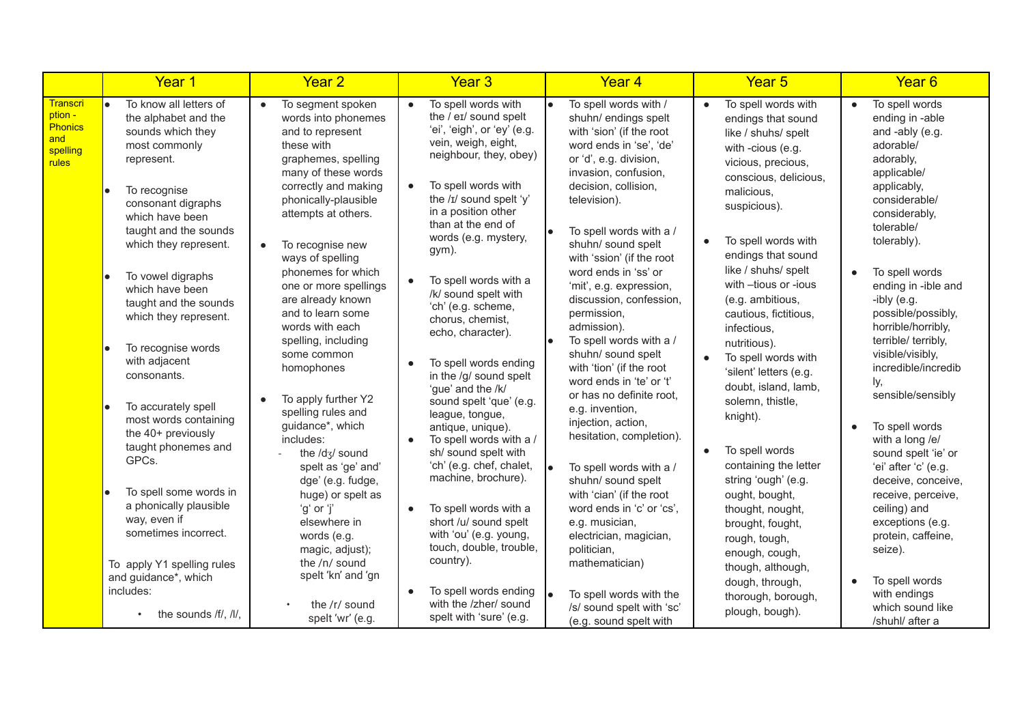|                                                                   | Year 1                                                                                                  | Year <sub>2</sub>                                                                                                                                             | Year <sub>3</sub>                                                                                                                                                             | Year <sub>4</sub>                                                                                                                                                              | Year <sub>5</sub>                                                                                                                                 | Year <sub>6</sub>                                                                                                         |
|-------------------------------------------------------------------|---------------------------------------------------------------------------------------------------------|---------------------------------------------------------------------------------------------------------------------------------------------------------------|-------------------------------------------------------------------------------------------------------------------------------------------------------------------------------|--------------------------------------------------------------------------------------------------------------------------------------------------------------------------------|---------------------------------------------------------------------------------------------------------------------------------------------------|---------------------------------------------------------------------------------------------------------------------------|
| <b>Transcri</b><br>ption -<br>Phonics<br>and<br>spelling<br>rules | To know all letters of<br>the alphabet and the<br>sounds which they<br>most commonly<br>represent.      | To segment spoken<br>$\bullet$<br>words into phonemes<br>and to represent<br>these with<br>graphemes, spelling<br>many of these words<br>correctly and making | To spell words with<br>$\bullet$<br>the / eɪ/ sound spelt<br>'ei', 'eigh', or 'ey' (e.g.<br>vein, weigh, eight,<br>neighbour, they, obey)<br>To spell words with<br>$\bullet$ | To spell words with /<br>shuhn/ endings spelt<br>with 'sion' (if the root<br>word ends in 'se', 'de'<br>or 'd', e.g. division,<br>invasion, confusion,<br>decision, collision, | To spell words with<br>$\bullet$<br>endings that sound<br>like / shuhs/ spelt<br>with -cious (e.g.<br>vicious, precious,<br>conscious, delicious, | To spell words<br>$\bullet$<br>ending in -able<br>and -ably (e.g.<br>adorable/<br>adorably,<br>applicable/<br>applicably, |
|                                                                   | To recognise<br>consonant digraphs<br>which have been<br>taught and the sounds<br>which they represent. | phonically-plausible<br>attempts at others.<br>To recognise new<br>$\bullet$<br>ways of spelling                                                              | the /ɪ/ sound spelt 'y'<br>in a position other<br>than at the end of<br>words (e.g. mystery,<br>gym).                                                                         | television).<br>To spell words with a /<br>shuhn/ sound spelt<br>with 'ssion' (if the root                                                                                     | malicious,<br>suspicious).<br>To spell words with<br>$\bullet$<br>endings that sound                                                              | considerable/<br>considerably,<br>tolerable/<br>tolerably).                                                               |
|                                                                   | To vowel digraphs<br>which have been<br>taught and the sounds<br>which they represent.                  | phonemes for which<br>one or more spellings<br>are already known<br>and to learn some<br>words with each                                                      | To spell words with a<br>/k/ sound spelt with<br>'ch' (e.g. scheme,<br>chorus, chemist,<br>echo, character).                                                                  | word ends in 'ss' or<br>'mit', e.g. expression,<br>discussion, confession,<br>permission,<br>admission).<br>To spell words with a /                                            | like / shuhs/ spelt<br>with -tious or -ious<br>(e.g. ambitious,<br>cautious, fictitious,<br>infectious,                                           | To spell words<br>ending in -ible and<br>-ibly (e.g.<br>possible/possibly,<br>horrible/horribly,<br>terrible/ terribly,   |
|                                                                   | To recognise words<br>with adjacent<br>consonants.                                                      | spelling, including<br>some common<br>homophones                                                                                                              | To spell words ending<br>in the /g/ sound spelt<br>'gue' and the /k/                                                                                                          | shuhn/ sound spelt<br>with 'tion' (if the root<br>word ends in 'te' or 't'                                                                                                     | nutritious).<br>To spell words with<br>$\bullet$<br>'silent' letters (e.g.<br>doubt, island, lamb,                                                | visible/visibly,<br>incredible/incredib<br>ly,                                                                            |
|                                                                   | To accurately spell<br>most words containing<br>the 40+ previously<br>taught phonemes and<br>GPCs.      | To apply further Y2<br>$\bullet$<br>spelling rules and<br>guidance*, which<br>includes:<br>the /d3/ sound                                                     | sound spelt 'que' (e.g.<br>league, tongue,<br>antique, unique).<br>To spell words with a /<br>$\bullet$<br>sh/ sound spelt with<br>'ch' (e.g. chef, chalet,                   | or has no definite root.<br>e.g. invention,<br>injection, action,<br>hesitation, completion).<br>To spell words with a /                                                       | solemn, thistle,<br>knight).<br>To spell words<br>$\bullet$<br>containing the letter                                                              | sensible/sensibly<br>To spell words<br>with a long /e/<br>sound spelt 'ie' or<br>'ei' after 'c' (e.g.                     |
|                                                                   | To spell some words in<br>a phonically plausible<br>way, even if<br>sometimes incorrect.                | spelt as 'ge' and'<br>dge' (e.g. fudge,<br>huge) or spelt as<br>'g' or 'j'<br>elsewhere in<br>words (e.g.<br>magic, adjust);                                  | machine, brochure).<br>To spell words with a<br>$\bullet$<br>short /u/ sound spelt<br>with 'ou' (e.g. young,<br>touch, double, trouble,<br>country).                          | shuhn/ sound spelt<br>with 'cian' (if the root<br>word ends in 'c' or 'cs',<br>e.g. musician,<br>electrician, magician,<br>politician,                                         | string 'ough' (e.g.<br>ought, bought,<br>thought, nought,<br>brought, fought,<br>rough, tough,<br>enough, cough,                                  | deceive, conceive,<br>receive, perceive,<br>ceiling) and<br>exceptions (e.g.<br>protein, caffeine,<br>seize).             |
|                                                                   | To apply Y1 spelling rules<br>and guidance*, which<br>includes:                                         | the /n/ sound<br>spelt 'kn' and 'gn                                                                                                                           | To spell words ending<br>$\bullet$<br>with the /zher/ sound                                                                                                                   | mathematician)<br>To spell words with the                                                                                                                                      | though, although,<br>dough, through,<br>thorough, borough,                                                                                        | To spell words<br>with endings                                                                                            |
|                                                                   | the sounds /f/, /l/,                                                                                    | the /r/ sound<br>spelt 'wr' (e.g.                                                                                                                             | spelt with 'sure' (e.g.                                                                                                                                                       | /s/ sound spelt with 'sc'<br>(e.g. sound spelt with                                                                                                                            | plough, bough).                                                                                                                                   | which sound like<br>/shuhl/ after a                                                                                       |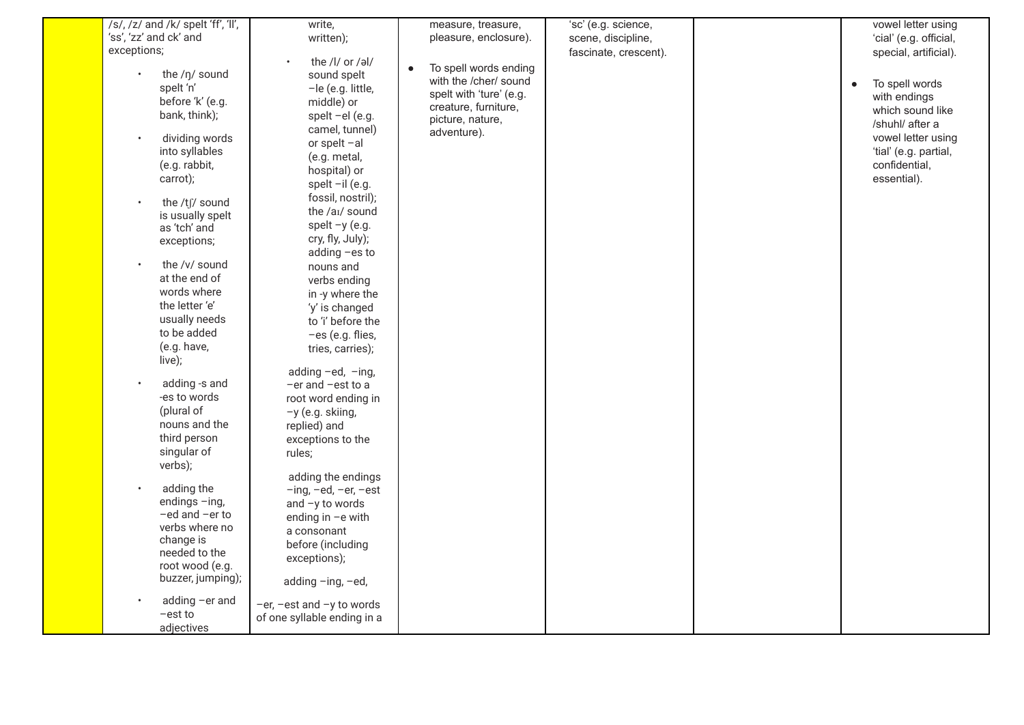| /s/, /z/ and /k/ spelt 'ff', 'll', | write,                                                 | measure, treasure,                 | 'sc' (e.g. science,   |           | vowel letter using     |
|------------------------------------|--------------------------------------------------------|------------------------------------|-----------------------|-----------|------------------------|
| 'ss', 'zz' and ck' and             | written);                                              | pleasure, enclosure).              | scene, discipline,    |           | 'cial' (e.g. official, |
| exceptions;                        |                                                        |                                    | fascinate, crescent). |           | special, artificial).  |
|                                    | the /l/ or /əl/                                        | To spell words ending<br>$\bullet$ |                       |           |                        |
| the /ŋ/ sound                      | sound spelt                                            | with the /cher/ sound              |                       | $\bullet$ | To spell words         |
| spelt 'n'                          | -le (e.g. little,                                      | spelt with 'ture' (e.g.            |                       |           | with endings           |
| before 'k' (e.g.                   | middle) or                                             | creature, furniture,               |                       |           | which sound like       |
| bank, think);                      | spelt -el (e.g.                                        | picture, nature,                   |                       |           | /shuhl/ after a        |
|                                    | camel, tunnel)                                         | adventure).                        |                       |           |                        |
| dividing words<br>$\bullet$        | or spelt -al                                           |                                    |                       |           | vowel letter using     |
| into syllables                     | (e.g. metal,                                           |                                    |                       |           | 'tial' (e.g. partial,  |
| (e.g. rabbit,                      | hospital) or                                           |                                    |                       |           | confidential,          |
| carrot);                           | spelt -il (e.g.                                        |                                    |                       |           | essential).            |
| the /tʃ/ sound<br>$\bullet$        | fossil, nostril);                                      |                                    |                       |           |                        |
| is usually spelt                   | the /ai/ sound                                         |                                    |                       |           |                        |
| as 'tch' and                       | spelt $-y$ (e.g.                                       |                                    |                       |           |                        |
| exceptions;                        | cry, fly, July);                                       |                                    |                       |           |                        |
|                                    | adding -es to                                          |                                    |                       |           |                        |
| the /v/ sound                      | nouns and                                              |                                    |                       |           |                        |
| at the end of                      | verbs ending                                           |                                    |                       |           |                        |
| words where                        | in -y where the                                        |                                    |                       |           |                        |
| the letter 'e'                     | 'y' is changed                                         |                                    |                       |           |                        |
| usually needs                      | to 'i' before the                                      |                                    |                       |           |                        |
| to be added                        | -es (e.g. flies,                                       |                                    |                       |           |                        |
| (e.g. have,                        | tries, carries);                                       |                                    |                       |           |                        |
| live);                             |                                                        |                                    |                       |           |                        |
|                                    | adding -ed, -ing,                                      |                                    |                       |           |                        |
| adding -s and<br>$\bullet$         | -er and -est to a                                      |                                    |                       |           |                        |
| -es to words                       | root word ending in                                    |                                    |                       |           |                        |
| (plural of                         | -y (e.g. skiing,                                       |                                    |                       |           |                        |
| nouns and the                      | replied) and                                           |                                    |                       |           |                        |
| third person                       | exceptions to the                                      |                                    |                       |           |                        |
| singular of                        | rules;                                                 |                                    |                       |           |                        |
| verbs);                            |                                                        |                                    |                       |           |                        |
| adding the                         | adding the endings<br>$-$ ing, $-$ ed, $-$ er, $-$ est |                                    |                       |           |                        |
| endings -ing,                      |                                                        |                                    |                       |           |                        |
| -ed and -er to                     | and $-y$ to words                                      |                                    |                       |           |                        |
| verbs where no                     | ending in -e with                                      |                                    |                       |           |                        |
| change is                          | a consonant                                            |                                    |                       |           |                        |
| needed to the                      | before (including                                      |                                    |                       |           |                        |
| root wood (e.g.                    | exceptions);                                           |                                    |                       |           |                        |
| buzzer, jumping);                  | adding -ing, -ed,                                      |                                    |                       |           |                        |
| adding -er and                     | $-er$ , $-est$ and $-y$ to words                       |                                    |                       |           |                        |
| -est to                            | of one syllable ending in a                            |                                    |                       |           |                        |
| adjectives                         |                                                        |                                    |                       |           |                        |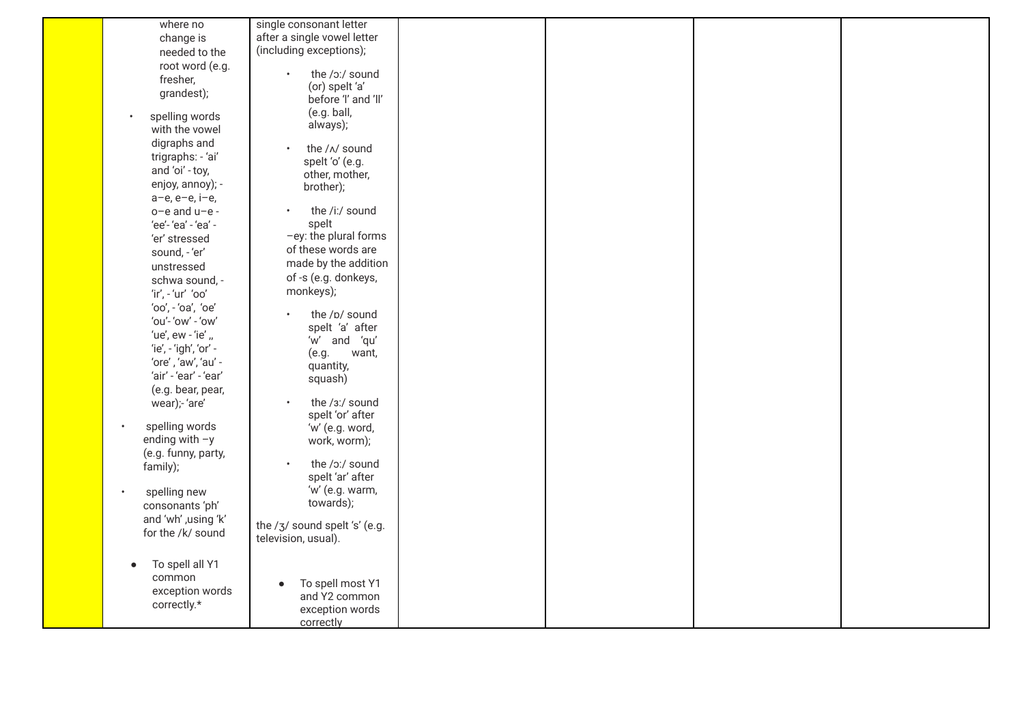| where no                     | single consonant letter       |  |  |
|------------------------------|-------------------------------|--|--|
| change is                    | after a single vowel letter   |  |  |
| needed to the                | (including exceptions);       |  |  |
| root word (e.g.              |                               |  |  |
| fresher,                     | the /o:/ sound                |  |  |
| grandest);                   | (or) spelt 'a'                |  |  |
|                              | before 'I' and 'II'           |  |  |
| spelling words               | (e.g. ball,                   |  |  |
| with the vowel               | always);                      |  |  |
| digraphs and                 |                               |  |  |
| trigraphs: - 'ai'            | the / N sound                 |  |  |
| and 'oi' - toy,              | spelt 'o' (e.g.               |  |  |
| enjoy, annoy); -             | other, mother,                |  |  |
| a-e, e-e, i-e,               | brother);                     |  |  |
| o-e and u-e -                | the /i:/ sound<br>$\bullet$   |  |  |
| 'ee'-'ea' - 'ea' -           | spelt                         |  |  |
| 'er' stressed                | -ey: the plural forms         |  |  |
| sound, - 'er'                | of these words are            |  |  |
| unstressed                   | made by the addition          |  |  |
| schwa sound, -               | of -s (e.g. donkeys,          |  |  |
| 'ir', - 'ur' 'oo'            | monkeys);                     |  |  |
| 'oo', - 'oa', 'oe'           |                               |  |  |
| 'ou'- 'ow' - 'ow'            | the /p/ sound                 |  |  |
| 'ue', ew - 'ie' "            | spelt 'a' after               |  |  |
| 'ie', - 'igh', 'or' -        | 'w' and 'qu'                  |  |  |
| 'ore', 'aw', 'au' -          | (e.g.<br>want,                |  |  |
| 'air' - 'ear' - 'ear'        | quantity,                     |  |  |
|                              | squash)                       |  |  |
| (e.g. bear, pear,            | the /3:/ sound                |  |  |
| wear);- 'are'                | spelt 'or' after              |  |  |
| spelling words<br>$\bullet$  | 'w' (e.g. word,               |  |  |
| ending with $-y$             | work, worm);                  |  |  |
| (e.g. funny, party,          |                               |  |  |
| family);                     | the /o:/ sound<br>$\bullet$   |  |  |
|                              | spelt 'ar' after              |  |  |
| spelling new<br>$\bullet$    | 'w' (e.g. warm,               |  |  |
| consonants 'ph'              | towards);                     |  |  |
| and 'wh' ,using 'k'          |                               |  |  |
| for the /k/ sound            | the /3/ sound spelt 's' (e.g. |  |  |
|                              | television, usual).           |  |  |
| To spell all Y1<br>$\bullet$ |                               |  |  |
| common                       |                               |  |  |
| exception words              | To spell most Y1<br>$\bullet$ |  |  |
| correctly.*                  | and Y2 common                 |  |  |
|                              | exception words               |  |  |
|                              | correctly                     |  |  |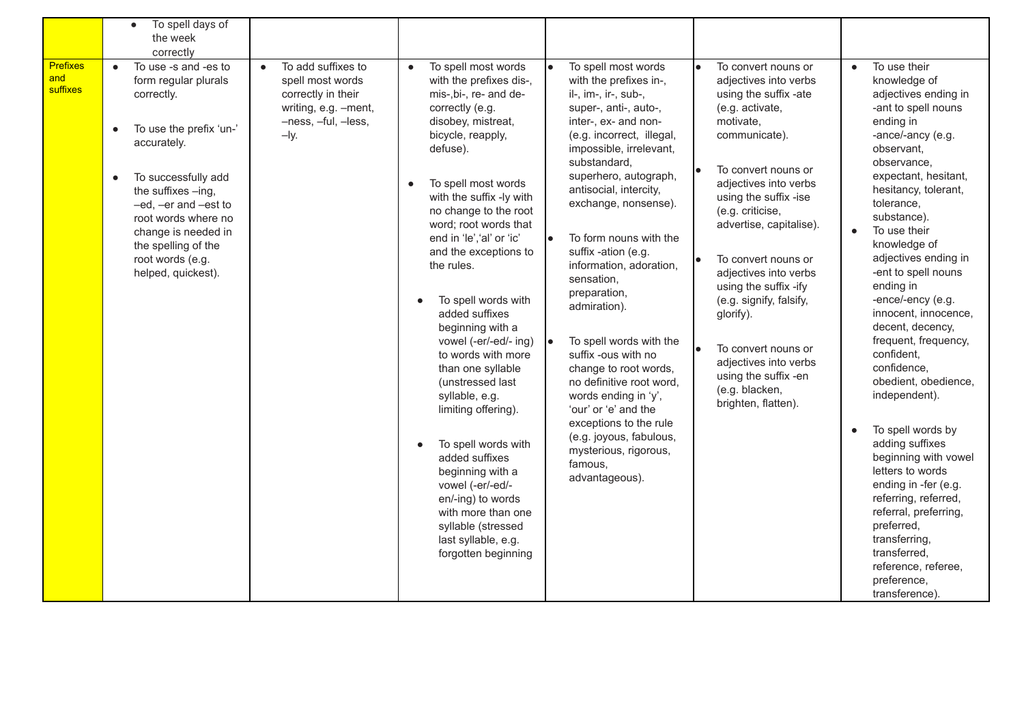|                                    | To spell days of<br>$\bullet$<br>the week<br>correctly                                                                                                                                                                                                                                                                          |                                                                                                                                    |                                                                                                                                                                                                                                                                                                                                                                                                                                                                                                                                                                                                                                                                                                                                                     |                                                                                                                                                                                                                                                                                                                                                                                                                                                                                                                                                                                                                                                                       |                                                                                                                                                                                                                                                                                                                                                                                                                                                                                  |                                                                                                                                                                                                                                                                                                                                                                                                                                                                                                                                                                                                                                                                                                                                                                                  |
|------------------------------------|---------------------------------------------------------------------------------------------------------------------------------------------------------------------------------------------------------------------------------------------------------------------------------------------------------------------------------|------------------------------------------------------------------------------------------------------------------------------------|-----------------------------------------------------------------------------------------------------------------------------------------------------------------------------------------------------------------------------------------------------------------------------------------------------------------------------------------------------------------------------------------------------------------------------------------------------------------------------------------------------------------------------------------------------------------------------------------------------------------------------------------------------------------------------------------------------------------------------------------------------|-----------------------------------------------------------------------------------------------------------------------------------------------------------------------------------------------------------------------------------------------------------------------------------------------------------------------------------------------------------------------------------------------------------------------------------------------------------------------------------------------------------------------------------------------------------------------------------------------------------------------------------------------------------------------|----------------------------------------------------------------------------------------------------------------------------------------------------------------------------------------------------------------------------------------------------------------------------------------------------------------------------------------------------------------------------------------------------------------------------------------------------------------------------------|----------------------------------------------------------------------------------------------------------------------------------------------------------------------------------------------------------------------------------------------------------------------------------------------------------------------------------------------------------------------------------------------------------------------------------------------------------------------------------------------------------------------------------------------------------------------------------------------------------------------------------------------------------------------------------------------------------------------------------------------------------------------------------|
| <b>Prefixes</b><br>and<br>suffixes | To use -s and -es to<br>$\bullet$<br>form regular plurals<br>correctly.<br>To use the prefix 'un-'<br>$\bullet$<br>accurately.<br>To successfully add<br>$\bullet$<br>the suffixes -ing,<br>-ed, -er and -est to<br>root words where no<br>change is needed in<br>the spelling of the<br>root words (e.g.<br>helped, quickest). | To add suffixes to<br>$\bullet$<br>spell most words<br>correctly in their<br>writing, e.g. -ment,<br>-ness, -ful, -less,<br>$-Iy.$ | To spell most words<br>$\bullet$<br>with the prefixes dis-,<br>mis-, bi-, re- and de-<br>correctly (e.g.<br>disobey, mistreat,<br>bicycle, reapply,<br>defuse).<br>To spell most words<br>$\bullet$<br>with the suffix -ly with<br>no change to the root<br>word; root words that<br>end in 'le', 'al' or 'ic'<br>and the exceptions to<br>the rules.<br>To spell words with<br>added suffixes<br>beginning with a<br>vowel (-er/-ed/- ing)<br>to words with more<br>than one syllable<br>(unstressed last<br>syllable, e.g.<br>limiting offering).<br>To spell words with<br>added suffixes<br>beginning with a<br>vowel (-er/-ed/-<br>en/-ing) to words<br>with more than one<br>syllable (stressed<br>last syllable, e.g.<br>forgotten beginning | To spell most words<br>with the prefixes in-,<br>il-, im-, ir-, sub-,<br>super-, anti-, auto-,<br>inter-, ex- and non-<br>(e.g. incorrect, illegal,<br>impossible, irrelevant,<br>substandard,<br>superhero, autograph,<br>antisocial, intercity,<br>exchange, nonsense).<br>To form nouns with the<br>suffix -ation (e.g.<br>information, adoration,<br>sensation,<br>preparation,<br>admiration).<br>To spell words with the<br>suffix -ous with no<br>change to root words,<br>no definitive root word,<br>words ending in 'y',<br>'our' or 'e' and the<br>exceptions to the rule<br>(e.g. joyous, fabulous,<br>mysterious, rigorous,<br>famous,<br>advantageous). | To convert nouns or<br>adjectives into verbs<br>using the suffix -ate<br>(e.g. activate,<br>motivate,<br>communicate).<br>To convert nouns or<br>adjectives into verbs<br>using the suffix -ise<br>(e.g. criticise,<br>advertise, capitalise).<br>To convert nouns or<br>adjectives into verbs<br>using the suffix -ify<br>(e.g. signify, falsify,<br>glorify).<br>To convert nouns or<br>adjectives into verbs<br>using the suffix -en<br>(e.g. blacken,<br>brighten, flatten). | To use their<br>$\bullet$<br>knowledge of<br>adjectives ending in<br>-ant to spell nouns<br>ending in<br>-ance/-ancy (e.g.<br>observant,<br>observance,<br>expectant, hesitant,<br>hesitancy, tolerant,<br>tolerance,<br>substance).<br>To use their<br>knowledge of<br>adjectives ending in<br>-ent to spell nouns<br>ending in<br>-ence/-ency (e.g.<br>innocent, innocence,<br>decent, decency,<br>frequent, frequency,<br>confident,<br>confidence,<br>obedient, obedience,<br>independent).<br>To spell words by<br>$\bullet$<br>adding suffixes<br>beginning with vowel<br>letters to words<br>ending in -fer (e.g.<br>referring, referred,<br>referral, preferring,<br>preferred,<br>transferring,<br>transferred,<br>reference, referee,<br>preference,<br>transference). |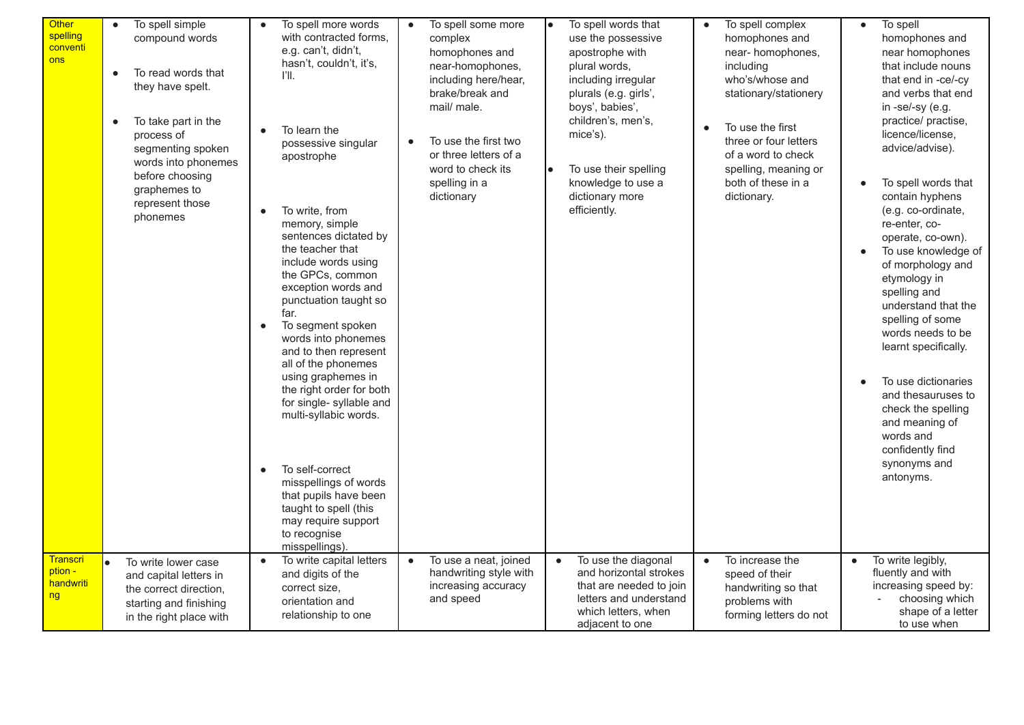| <b>Other</b><br>spelling<br>conventi<br>ons   | To spell simple<br>$\bullet$<br>compound words<br>To read words that<br>$\bullet$<br>they have spelt.<br>To take part in the<br>$\bullet$<br>process of<br>segmenting spoken<br>words into phonemes<br>before choosing<br>graphemes to<br>represent those<br>phonemes | To spell more words<br>with contracted forms.<br>e.g. can't, didn't,<br>hasn't, couldn't, it's,<br>l'II.<br>To learn the<br>possessive singular<br>apostrophe<br>To write, from<br>memory, simple<br>sentences dictated by<br>the teacher that<br>include words using<br>the GPCs, common<br>exception words and<br>punctuation taught so<br>far.<br>To segment spoken<br>$\bullet$<br>words into phonemes<br>and to then represent<br>all of the phonemes<br>using graphemes in<br>the right order for both<br>for single- syllable and<br>multi-syllabic words.<br>To self-correct<br>misspellings of words<br>that pupils have been<br>taught to spell (this<br>may require support<br>to recognise<br>misspellings). | To spell some more<br>$\bullet$<br>complex<br>homophones and<br>near-homophones,<br>including here/hear,<br>brake/break and<br>mail/ male.<br>To use the first two<br>or three letters of a<br>word to check its<br>spelling in a<br>dictionary | To spell words that<br>use the possessive<br>apostrophe with<br>plural words,<br>including irregular<br>plurals (e.g. girls',<br>boys', babies',<br>children's, men's,<br>mice's).<br>To use their spelling<br>knowledge to use a<br>dictionary more<br>efficiently. | To spell complex<br>homophones and<br>near-homophones,<br>including<br>who's/whose and<br>stationary/stationery<br>To use the first<br>$\bullet$<br>three or four letters<br>of a word to check<br>spelling, meaning or<br>both of these in a<br>dictionary. | To spell<br>$\bullet$<br>homophones and<br>near homophones<br>that include nouns<br>that end in -ce/-cy<br>and verbs that end<br>in -se/-sy (e.g.<br>practice/ practise,<br>licence/license,<br>advice/advise).<br>To spell words that<br>$\bullet$<br>contain hyphens<br>(e.g. co-ordinate,<br>re-enter, co-<br>operate, co-own).<br>To use knowledge of<br>$\bullet$<br>of morphology and<br>etymology in<br>spelling and<br>understand that the<br>spelling of some<br>words needs to be<br>learnt specifically.<br>To use dictionaries<br>$\bullet$<br>and thesauruses to<br>check the spelling<br>and meaning of<br>words and<br>confidently find<br>synonyms and<br>antonyms. |
|-----------------------------------------------|-----------------------------------------------------------------------------------------------------------------------------------------------------------------------------------------------------------------------------------------------------------------------|--------------------------------------------------------------------------------------------------------------------------------------------------------------------------------------------------------------------------------------------------------------------------------------------------------------------------------------------------------------------------------------------------------------------------------------------------------------------------------------------------------------------------------------------------------------------------------------------------------------------------------------------------------------------------------------------------------------------------|-------------------------------------------------------------------------------------------------------------------------------------------------------------------------------------------------------------------------------------------------|----------------------------------------------------------------------------------------------------------------------------------------------------------------------------------------------------------------------------------------------------------------------|--------------------------------------------------------------------------------------------------------------------------------------------------------------------------------------------------------------------------------------------------------------|-------------------------------------------------------------------------------------------------------------------------------------------------------------------------------------------------------------------------------------------------------------------------------------------------------------------------------------------------------------------------------------------------------------------------------------------------------------------------------------------------------------------------------------------------------------------------------------------------------------------------------------------------------------------------------------|
| <b>Transcri</b><br>ption -<br>handwriti<br>ng | To write lower case<br>and capital letters in<br>the correct direction,<br>starting and finishing<br>in the right place with                                                                                                                                          | To write capital letters<br>$\bullet$<br>and digits of the<br>correct size,<br>orientation and<br>relationship to one                                                                                                                                                                                                                                                                                                                                                                                                                                                                                                                                                                                                    | To use a neat, joined<br>$\bullet$<br>handwriting style with<br>increasing accuracy<br>and speed                                                                                                                                                | To use the diagonal<br>$\bullet$<br>and horizontal strokes<br>that are needed to join<br>letters and understand<br>which letters, when<br>adjacent to one                                                                                                            | To increase the<br>$\bullet$<br>speed of their<br>handwriting so that<br>problems with<br>forming letters do not                                                                                                                                             | To write legibly,<br>fluently and with<br>increasing speed by:<br>choosing which<br>shape of a letter<br>to use when                                                                                                                                                                                                                                                                                                                                                                                                                                                                                                                                                                |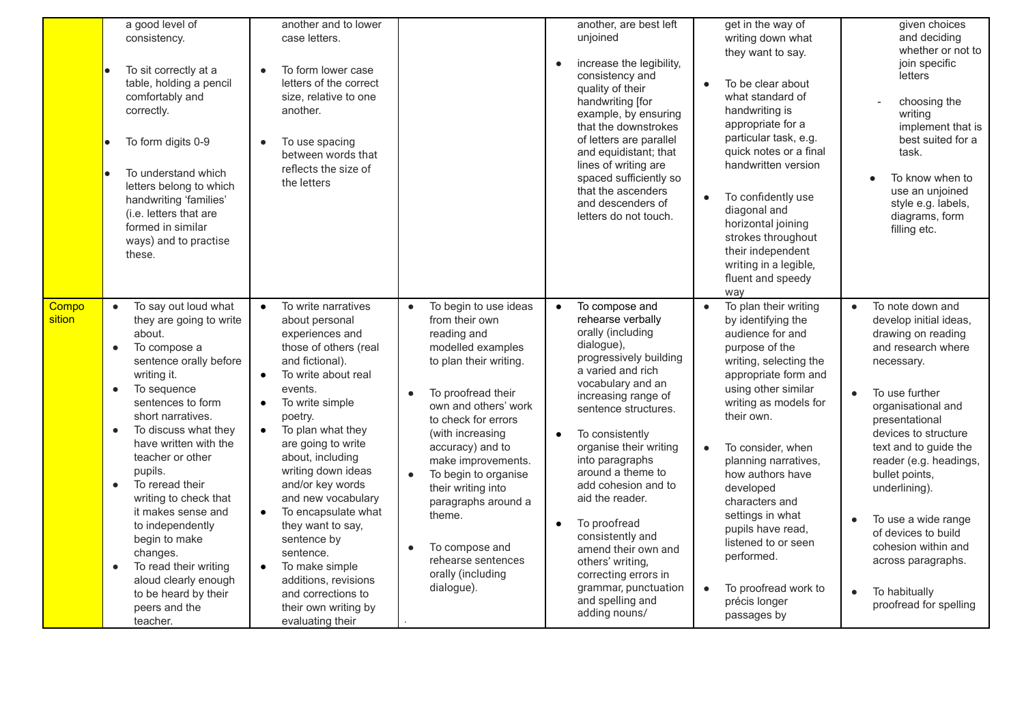|                 | a good level of<br>consistency.<br>To sit correctly at a<br>table, holding a pencil<br>comfortably and<br>correctly.<br>To form digits 0-9<br>To understand which<br>letters belong to which<br>handwriting 'families'<br>(i.e. letters that are<br>formed in similar<br>ways) and to practise<br>these.                                                                                                                                                                                                                                                           | another and to lower<br>case letters.<br>To form lower case<br>letters of the correct<br>size, relative to one<br>another.<br>To use spacing<br>between words that<br>reflects the size of<br>the letters                                                                                                                                                                                                                                                                                                                                                |                                                                                                                                                                                                                                                                                                                                                                                                                 | another, are best left<br>unjoined<br>increase the legibility,<br>$\bullet$<br>consistency and<br>quality of their<br>handwriting [for<br>example, by ensuring<br>that the downstrokes<br>of letters are parallel<br>and equidistant; that<br>lines of writing are<br>spaced sufficiently so<br>that the ascenders<br>and descenders of<br>letters do not touch.                                                                                                                                                                    | get in the way of<br>writing down what<br>they want to say.<br>To be clear about<br>$\bullet$<br>what standard of<br>handwriting is<br>appropriate for a<br>particular task, e.g.<br>quick notes or a final<br>handwritten version<br>To confidently use<br>$\bullet$<br>diagonal and<br>horizontal joining<br>strokes throughout<br>their independent<br>writing in a legible,<br>fluent and speedy<br>way                                                                    | given choices<br>and deciding<br>whether or not to<br>join specific<br>letters<br>choosing the<br>writing<br>implement that is<br>best suited for a<br>task.<br>To know when to<br>$\bullet$<br>use an unjoined<br>style e.g. labels,<br>diagrams, form<br>filling etc.                                                                                                                                                                                                |
|-----------------|--------------------------------------------------------------------------------------------------------------------------------------------------------------------------------------------------------------------------------------------------------------------------------------------------------------------------------------------------------------------------------------------------------------------------------------------------------------------------------------------------------------------------------------------------------------------|----------------------------------------------------------------------------------------------------------------------------------------------------------------------------------------------------------------------------------------------------------------------------------------------------------------------------------------------------------------------------------------------------------------------------------------------------------------------------------------------------------------------------------------------------------|-----------------------------------------------------------------------------------------------------------------------------------------------------------------------------------------------------------------------------------------------------------------------------------------------------------------------------------------------------------------------------------------------------------------|-------------------------------------------------------------------------------------------------------------------------------------------------------------------------------------------------------------------------------------------------------------------------------------------------------------------------------------------------------------------------------------------------------------------------------------------------------------------------------------------------------------------------------------|--------------------------------------------------------------------------------------------------------------------------------------------------------------------------------------------------------------------------------------------------------------------------------------------------------------------------------------------------------------------------------------------------------------------------------------------------------------------------------|------------------------------------------------------------------------------------------------------------------------------------------------------------------------------------------------------------------------------------------------------------------------------------------------------------------------------------------------------------------------------------------------------------------------------------------------------------------------|
| Compo<br>sition | To say out loud what<br>$\bullet$<br>they are going to write<br>about.<br>To compose a<br>$\bullet$<br>sentence orally before<br>writing it.<br>To sequence<br>$\bullet$<br>sentences to form<br>short narratives.<br>To discuss what they<br>$\bullet$<br>have written with the<br>teacher or other<br>pupils.<br>To reread their<br>$\bullet$<br>writing to check that<br>it makes sense and<br>to independently<br>begin to make<br>changes.<br>To read their writing<br>$\bullet$<br>aloud clearly enough<br>to be heard by their<br>peers and the<br>teacher. | To write narratives<br>$\bullet$<br>about personal<br>experiences and<br>those of others (real<br>and fictional).<br>To write about real<br>$\bullet$<br>events.<br>To write simple<br>poetry.<br>To plan what they<br>$\bullet$<br>are going to write<br>about, including<br>writing down ideas<br>and/or key words<br>and new vocabulary<br>To encapsulate what<br>$\bullet$<br>they want to say,<br>sentence by<br>sentence.<br>To make simple<br>$\bullet$<br>additions, revisions<br>and corrections to<br>their own writing by<br>evaluating their | To begin to use ideas<br>$\bullet$<br>from their own<br>reading and<br>modelled examples<br>to plan their writing.<br>To proofread their<br>own and others' work<br>to check for errors<br>(with increasing<br>accuracy) and to<br>make improvements.<br>To begin to organise<br>their writing into<br>paragraphs around a<br>theme.<br>To compose and<br>rehearse sentences<br>orally (including<br>dialogue). | To compose and<br>$\bullet$<br>rehearse verbally<br>orally (including<br>dialogue),<br>progressively building<br>a varied and rich<br>vocabulary and an<br>increasing range of<br>sentence structures.<br>To consistently<br>$\bullet$<br>organise their writing<br>into paragraphs<br>around a theme to<br>add cohesion and to<br>aid the reader.<br>To proofread<br>$\bullet$<br>consistently and<br>amend their own and<br>others' writing,<br>correcting errors in<br>grammar, punctuation<br>and spelling and<br>adding nouns/ | To plan their writing<br>$\bullet$<br>by identifying the<br>audience for and<br>purpose of the<br>writing, selecting the<br>appropriate form and<br>using other similar<br>writing as models for<br>their own.<br>To consider, when<br>$\bullet$<br>planning narratives,<br>how authors have<br>developed<br>characters and<br>settings in what<br>pupils have read,<br>listened to or seen<br>performed.<br>To proofread work to<br>$\bullet$<br>précis longer<br>passages by | To note down and<br>$\bullet$<br>develop initial ideas,<br>drawing on reading<br>and research where<br>necessary.<br>To use further<br>$\bullet$<br>organisational and<br>presentational<br>devices to structure<br>text and to guide the<br>reader (e.g. headings,<br>bullet points,<br>underlining).<br>To use a wide range<br>$\bullet$<br>of devices to build<br>cohesion within and<br>across paragraphs.<br>To habitually<br>$\bullet$<br>proofread for spelling |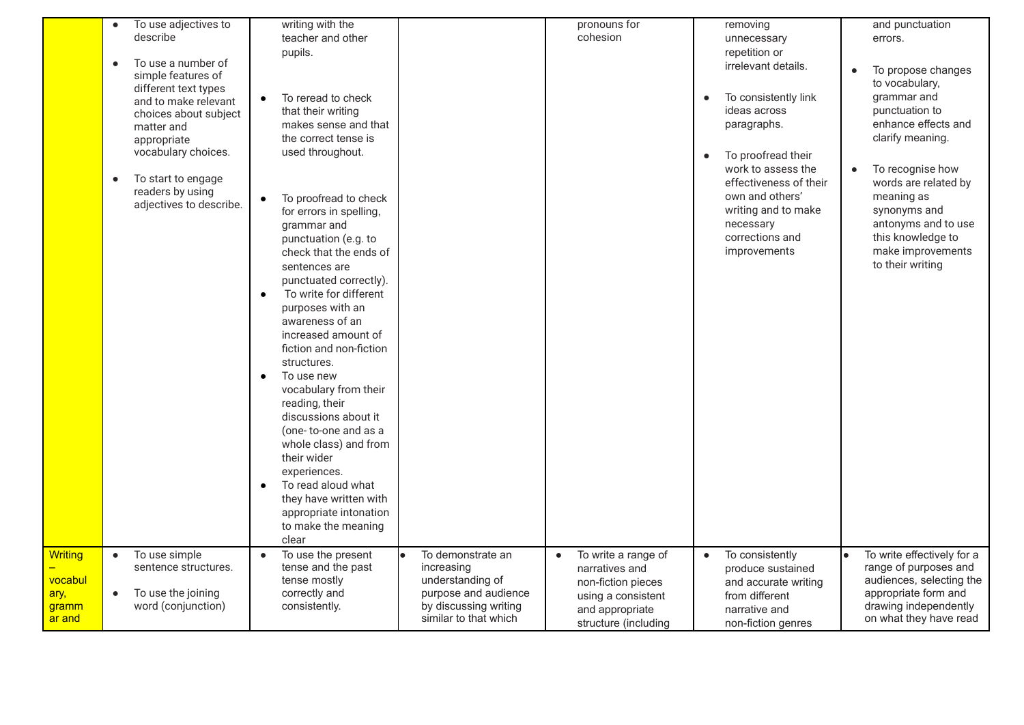|                                     | To use adjectives to<br>$\bullet$ | writing with the                                              |                                               | pronouns for                     | removing                                          | and punctuation                                 |
|-------------------------------------|-----------------------------------|---------------------------------------------------------------|-----------------------------------------------|----------------------------------|---------------------------------------------------|-------------------------------------------------|
|                                     | describe                          | teacher and other                                             |                                               | cohesion                         | unnecessary                                       | errors.                                         |
|                                     | To use a number of<br>$\bullet$   | pupils.                                                       |                                               |                                  | repetition or                                     |                                                 |
|                                     | simple features of                |                                                               |                                               |                                  | irrelevant details.                               | To propose changes                              |
|                                     | different text types              |                                                               |                                               |                                  |                                                   | to vocabulary,                                  |
|                                     | and to make relevant              | To reread to check                                            |                                               |                                  | To consistently link<br>$\bullet$<br>ideas across | grammar and<br>punctuation to                   |
|                                     | choices about subject             | that their writing<br>makes sense and that                    |                                               |                                  | paragraphs.                                       | enhance effects and                             |
|                                     | matter and<br>appropriate         | the correct tense is                                          |                                               |                                  |                                                   | clarify meaning.                                |
|                                     | vocabulary choices.               | used throughout.                                              |                                               |                                  | To proofread their<br>$\bullet$                   |                                                 |
|                                     |                                   |                                                               |                                               |                                  | work to assess the                                | To recognise how                                |
|                                     | To start to engage<br>$\bullet$   |                                                               |                                               |                                  | effectiveness of their                            | words are related by                            |
|                                     | readers by using                  | To proofread to check                                         |                                               |                                  | own and others'                                   | meaning as                                      |
|                                     | adjectives to describe.           | for errors in spelling,                                       |                                               |                                  | writing and to make                               | synonyms and                                    |
|                                     |                                   | grammar and                                                   |                                               |                                  | necessary                                         | antonyms and to use                             |
|                                     |                                   | punctuation (e.g. to                                          |                                               |                                  | corrections and                                   | this knowledge to                               |
|                                     |                                   | check that the ends of                                        |                                               |                                  | improvements                                      | make improvements                               |
|                                     |                                   | sentences are                                                 |                                               |                                  |                                                   | to their writing                                |
|                                     |                                   | punctuated correctly).<br>To write for different<br>$\bullet$ |                                               |                                  |                                                   |                                                 |
|                                     |                                   | purposes with an                                              |                                               |                                  |                                                   |                                                 |
|                                     |                                   | awareness of an                                               |                                               |                                  |                                                   |                                                 |
|                                     |                                   | increased amount of                                           |                                               |                                  |                                                   |                                                 |
|                                     |                                   | fiction and non-fiction                                       |                                               |                                  |                                                   |                                                 |
|                                     |                                   | structures.                                                   |                                               |                                  |                                                   |                                                 |
|                                     |                                   | To use new<br>$\bullet$                                       |                                               |                                  |                                                   |                                                 |
|                                     |                                   | vocabulary from their                                         |                                               |                                  |                                                   |                                                 |
|                                     |                                   | reading, their<br>discussions about it                        |                                               |                                  |                                                   |                                                 |
|                                     |                                   | (one-to-one and as a                                          |                                               |                                  |                                                   |                                                 |
|                                     |                                   | whole class) and from                                         |                                               |                                  |                                                   |                                                 |
|                                     |                                   | their wider                                                   |                                               |                                  |                                                   |                                                 |
|                                     |                                   | experiences.                                                  |                                               |                                  |                                                   |                                                 |
|                                     |                                   | To read aloud what<br>$\bullet$                               |                                               |                                  |                                                   |                                                 |
|                                     |                                   | they have written with                                        |                                               |                                  |                                                   |                                                 |
|                                     |                                   | appropriate intonation                                        |                                               |                                  |                                                   |                                                 |
|                                     |                                   | to make the meaning<br>clear                                  |                                               |                                  |                                                   |                                                 |
| <b>Writing</b>                      | To use simple<br>$\bullet$        | To use the present<br>$\bullet$                               | To demonstrate an                             | To write a range of<br>$\bullet$ | To consistently<br>$\bullet$                      | To write effectively for a                      |
|                                     | sentence structures.              | tense and the past                                            | increasing                                    | narratives and                   | produce sustained                                 | range of purposes and                           |
| <u>vocabul</u>                      |                                   | tense mostly                                                  | understanding of                              | non-fiction pieces               | and accurate writing                              | audiences, selecting the                        |
| <mark>ary,</mark>                   | To use the joining<br>$\bullet$   | correctly and                                                 | purpose and audience<br>by discussing writing | using a consistent               | from different                                    | appropriate form and                            |
| <u>gramm</u><br><mark>ar and</mark> | word (conjunction)                | consistently.                                                 | similar to that which                         | and appropriate                  | narrative and                                     | drawing independently<br>on what they have read |
|                                     |                                   |                                                               |                                               | structure (including             | non-fiction genres                                |                                                 |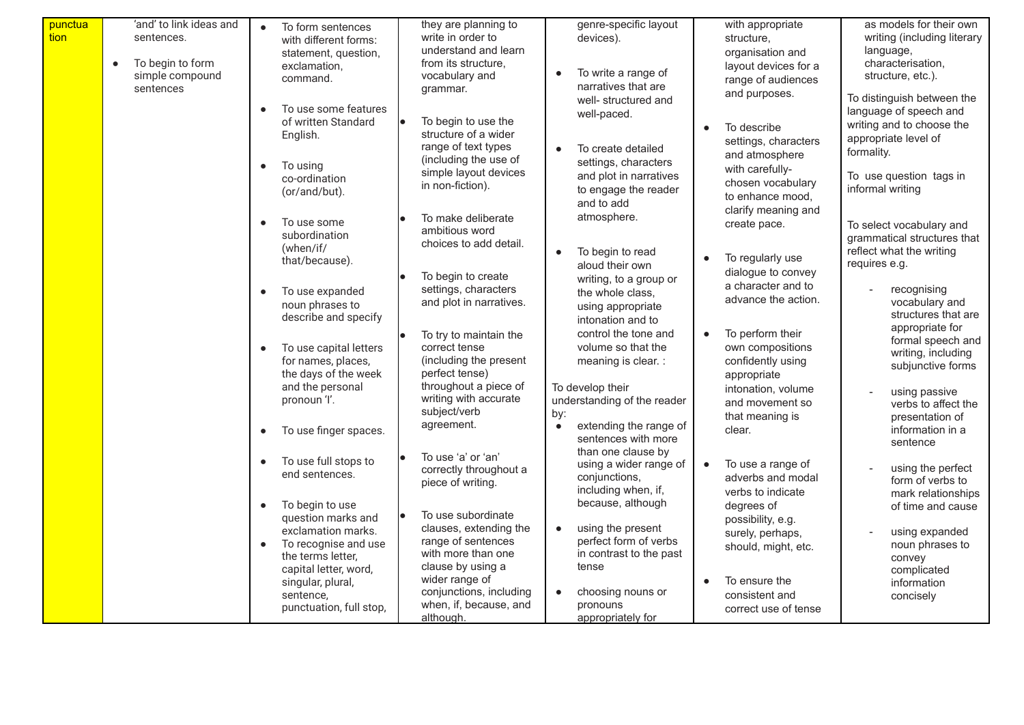| punctua<br>tion | 'and' to link ideas and<br>sentences.<br>To begin to form<br>simple compound<br>sentences | To form sentences<br>with different forms:<br>statement, question,<br>exclamation,<br>command.<br>To use some features<br>of written Standard<br>English.<br>To using<br>$\bullet$       | they are planning to<br>write in order to<br>understand and learn<br>from its structure.<br>vocabulary and<br>grammar.<br>To begin to use the<br>structure of a wider<br>range of text types<br>(including the use of<br>simple layout devices | genre-specific layout<br>devices).<br>To write a range of<br>narratives that are<br>well- structured and<br>well-paced.<br>To create detailed<br>settings, characters | with appropriate<br>structure,<br>organisation and<br>layout devices for a<br>range of audiences<br>and purposes.<br>To describe<br>settings, characters<br>and atmosphere<br>with carefully- | as models for their own<br>writing (including literary<br>language,<br>characterisation,<br>structure, etc.).<br>To distinguish between the<br>language of speech and<br>writing and to choose the<br>appropriate level of<br>formality. |
|-----------------|-------------------------------------------------------------------------------------------|------------------------------------------------------------------------------------------------------------------------------------------------------------------------------------------|------------------------------------------------------------------------------------------------------------------------------------------------------------------------------------------------------------------------------------------------|-----------------------------------------------------------------------------------------------------------------------------------------------------------------------|-----------------------------------------------------------------------------------------------------------------------------------------------------------------------------------------------|------------------------------------------------------------------------------------------------------------------------------------------------------------------------------------------------------------------------------------------|
|                 |                                                                                           | co-ordination<br>(or/and/but).<br>To use some<br>subordination                                                                                                                           | in non-fiction).<br>To make deliberate<br>ambitious word                                                                                                                                                                                       | and plot in narratives<br>to engage the reader<br>and to add<br>atmosphere.                                                                                           | chosen vocabulary<br>to enhance mood.<br>clarify meaning and<br>create pace.                                                                                                                  | To use question tags in<br>informal writing<br>To select vocabulary and<br>grammatical structures that                                                                                                                                   |
|                 |                                                                                           | (when/if/<br>that/because).<br>To use expanded<br>$\bullet$<br>noun phrases to                                                                                                           | choices to add detail.<br>To begin to create<br>settings, characters<br>and plot in narratives.                                                                                                                                                | To begin to read<br>aloud their own<br>writing, to a group or<br>the whole class,<br>using appropriate                                                                | To regularly use<br>$\bullet$<br>dialogue to convey<br>a character and to<br>advance the action.                                                                                              | reflect what the writing<br>requires e.g.<br>recognising<br>vocabulary and                                                                                                                                                               |
|                 |                                                                                           | describe and specify<br>To use capital letters<br>$\bullet$<br>for names, places,<br>the days of the week                                                                                | To try to maintain the<br>correct tense<br>(including the present<br>perfect tense)                                                                                                                                                            | intonation and to<br>control the tone and<br>volume so that the<br>meaning is clear. :                                                                                | To perform their<br>$\bullet$<br>own compositions<br>confidently using<br>appropriate                                                                                                         | structures that are<br>appropriate for<br>formal speech and<br>writing, including<br>subjunctive forms                                                                                                                                   |
|                 |                                                                                           | and the personal<br>pronoun 'l'.<br>To use finger spaces.                                                                                                                                | throughout a piece of<br>writing with accurate<br>subject/verb<br>agreement.                                                                                                                                                                   | To develop their<br>understanding of the reader<br>by:<br>extending the range of<br>$\bullet$<br>sentences with more<br>than one clause by                            | intonation, volume<br>and movement so<br>that meaning is<br>clear.                                                                                                                            | using passive<br>verbs to affect the<br>presentation of<br>information in a<br>sentence                                                                                                                                                  |
|                 |                                                                                           | To use full stops to<br>$\bullet$<br>end sentences.<br>To begin to use<br>$\bullet$                                                                                                      | To use 'a' or 'an'<br>correctly throughout a<br>piece of writing.                                                                                                                                                                              | using a wider range of<br>conjunctions,<br>including when, if,<br>because, although                                                                                   | To use a range of<br>$\bullet$<br>adverbs and modal<br>verbs to indicate<br>degrees of                                                                                                        | using the perfect<br>form of verbs to<br>mark relationships<br>of time and cause                                                                                                                                                         |
|                 |                                                                                           | question marks and<br>exclamation marks.<br>To recognise and use<br>$\bullet$<br>the terms letter,<br>capital letter, word,<br>singular, plural,<br>sentence,<br>punctuation, full stop, | To use subordinate<br>clauses, extending the<br>range of sentences<br>with more than one<br>clause by using a<br>wider range of<br>conjunctions, including<br>when, if, because, and<br>although.                                              | using the present<br>perfect form of verbs<br>in contrast to the past<br>tense<br>choosing nouns or<br>pronouns<br>appropriately for                                  | possibility, e.g.<br>surely, perhaps,<br>should, might, etc.<br>To ensure the<br>$\bullet$<br>consistent and<br>correct use of tense                                                          | using expanded<br>noun phrases to<br>convey<br>complicated<br>information<br>concisely                                                                                                                                                   |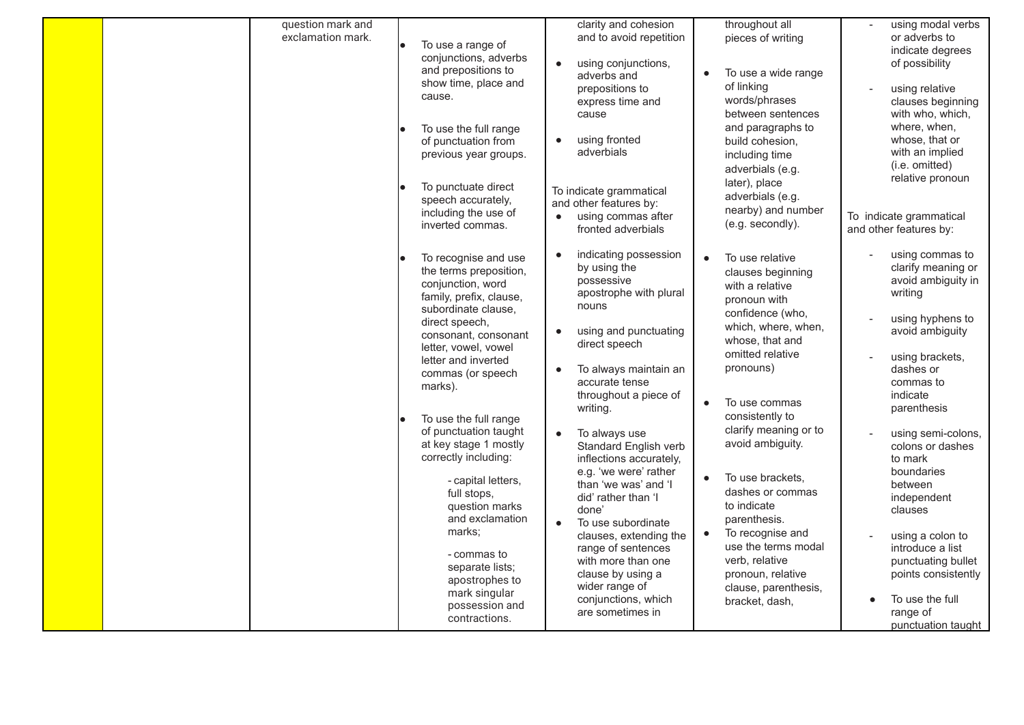| question mark and<br>exclamation mark. | To use a range of<br>le<br>conjunctions, adverbs<br>and prepositions to<br>show time, place and<br>cause.<br>To use the full range<br>of punctuation from<br>previous year groups.<br>To punctuate direct<br>speech accurately,<br>including the use of<br>inverted commas.                                                                                                                                                                                                                                                                   | clarity and cohesion<br>and to avoid repetition<br>using conjunctions,<br>adverbs and<br>prepositions to<br>express time and<br>cause<br>using fronted<br>adverbials<br>To indicate grammatical<br>and other features by:<br>using commas after<br>$\bullet$                                                                                                                                                                                                                                                                                                                                                      | throughout all<br>pieces of writing<br>To use a wide range<br>of linking<br>words/phrases<br>between sentences<br>and paragraphs to<br>build cohesion,<br>including time<br>adverbials (e.g.<br>later), place<br>adverbials (e.g.<br>nearby) and number<br>(e.g. secondly).                                                                                                                                                                                                                       | using modal verbs<br>or adverbs to<br>indicate degrees<br>of possibility<br>using relative<br>clauses beginning<br>with who, which,<br>where, when,<br>whose, that or<br>with an implied<br>(i.e. omitted)<br>relative pronoun<br>To indicate grammatical                                                                                                                                                                                                         |
|----------------------------------------|-----------------------------------------------------------------------------------------------------------------------------------------------------------------------------------------------------------------------------------------------------------------------------------------------------------------------------------------------------------------------------------------------------------------------------------------------------------------------------------------------------------------------------------------------|-------------------------------------------------------------------------------------------------------------------------------------------------------------------------------------------------------------------------------------------------------------------------------------------------------------------------------------------------------------------------------------------------------------------------------------------------------------------------------------------------------------------------------------------------------------------------------------------------------------------|---------------------------------------------------------------------------------------------------------------------------------------------------------------------------------------------------------------------------------------------------------------------------------------------------------------------------------------------------------------------------------------------------------------------------------------------------------------------------------------------------|-------------------------------------------------------------------------------------------------------------------------------------------------------------------------------------------------------------------------------------------------------------------------------------------------------------------------------------------------------------------------------------------------------------------------------------------------------------------|
|                                        | To recognise and use<br>the terms preposition,<br>conjunction, word<br>family, prefix, clause,<br>subordinate clause.<br>direct speech,<br>consonant, consonant<br>letter, vowel, vowel<br>letter and inverted<br>commas (or speech<br>marks).<br>To use the full range<br>of punctuation taught<br>at key stage 1 mostly<br>correctly including:<br>- capital letters,<br>full stops,<br>question marks<br>and exclamation<br>marks;<br>- commas to<br>separate lists;<br>apostrophes to<br>mark singular<br>possession and<br>contractions. | fronted adverbials<br>indicating possession<br>$\bullet$<br>by using the<br>possessive<br>apostrophe with plural<br>nouns<br>using and punctuating<br>$\bullet$<br>direct speech<br>To always maintain an<br>accurate tense<br>throughout a piece of<br>writing.<br>To always use<br>$\bullet$<br>Standard English verb<br>inflections accurately,<br>e.g. 'we were' rather<br>than 'we was' and 'I<br>did' rather than 'I<br>done'<br>To use subordinate<br>clauses, extending the<br>range of sentences<br>with more than one<br>clause by using a<br>wider range of<br>conjunctions, which<br>are sometimes in | To use relative<br>$\bullet$<br>clauses beginning<br>with a relative<br>pronoun with<br>confidence (who,<br>which, where, when,<br>whose, that and<br>omitted relative<br>pronouns)<br>To use commas<br>$\bullet$<br>consistently to<br>clarify meaning or to<br>avoid ambiguity.<br>To use brackets,<br>$\bullet$<br>dashes or commas<br>to indicate<br>parenthesis.<br>To recognise and<br>use the terms modal<br>verb, relative<br>pronoun, relative<br>clause, parenthesis,<br>bracket, dash, | and other features by:<br>using commas to<br>clarify meaning or<br>avoid ambiguity in<br>writing<br>using hyphens to<br>avoid ambiguity<br>using brackets,<br>dashes or<br>commas to<br>indicate<br>parenthesis<br>using semi-colons,<br>colons or dashes<br>to mark<br>boundaries<br>between<br>independent<br>clauses<br>using a colon to<br>introduce a list<br>punctuating bullet<br>points consistently<br>To use the full<br>range of<br>punctuation taught |